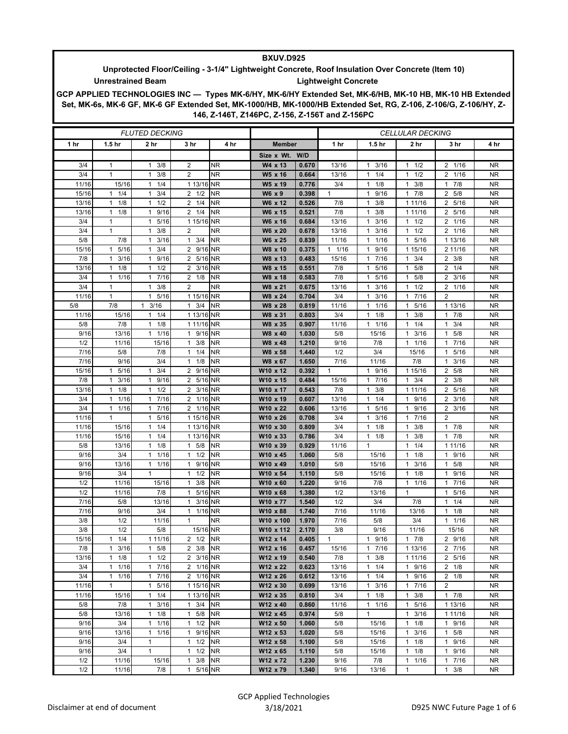## **BXUV.D925**

## **Unprotected Floor/Ceiling - 3-1/4" Lightweight Concrete, Roof Insulation Over Concrete (Item 10) Unrestrained Beam Lightweight Concrete**

**GCP APPLIED TECHNOLOGIES INC — Types MK-6/HY, MK-6/HY Extended Set, MK-6/HB, MK-10 HB, MK-10 HB Extended Set, MK-6s, MK-6 GF, MK-6 GF Extended Set, MK-1000/HB, MK-1000/HB Extended Set, RG, Z-106, Z-106/G, Z-106/HY, Z-146, Z-146T, Z146PC, Z-156, Z-156T and Z-156PC**

| <b>FLUTED DECKING</b> |                      |                      |                              |           | <b>CELLULAR DECKING</b> |                |                 |                      |                            |                        |                  |
|-----------------------|----------------------|----------------------|------------------------------|-----------|-------------------------|----------------|-----------------|----------------------|----------------------------|------------------------|------------------|
| 1 hr                  | 1.5 <sub>hr</sub>    | 2 <sub>hr</sub>      | 3 hr                         | 4 hr      | <b>Member</b>           |                | 1 <sub>hr</sub> | 1.5 hr               | 2 <sub>hr</sub>            | 3 hr                   | 4 hr             |
|                       |                      |                      |                              |           | Size x Wt. W/D          |                |                 |                      |                            |                        |                  |
| 3/4                   | 1                    | 3/8<br>1             | 2                            | <b>NR</b> | W4 x 13                 | 0.670          | 13/16           | $1 \t3/16$           | 1/2<br>$\mathbf{1}$        | 2 1/16                 | NR.              |
| 3/4                   | $\mathbf{1}$         | 3/8<br>1             | $\overline{2}$               | <b>NR</b> | W5 x 16                 | 0.664          | 13/16           | $1 \t1/4$            | 1/2<br>$\mathbf{1}$        | 2 1/16                 | <b>NR</b>        |
| 11/16                 | 15/16                | 1/4<br>1             | 1 13/16                      | <b>NR</b> | W5 x 19                 | 0.776          | 3/4             | $1 \t1/8$            | 3/8<br>1                   | $1 \t7/8$              | NR.              |
| 15/16                 | $1 \t1/4$            | 3/4<br>$\mathbf{1}$  | $2 \frac{1}{2}$              | <b>NR</b> | W6 x 9                  | 0.398          | 1               | 1 9/16               | 7/8<br>$\mathbf{1}$        | 2 5/8                  | NR               |
| 13/16                 | 1/8<br>$\mathbf{1}$  | 1/2<br>1             | $2 \frac{1}{4}$              | <b>NR</b> | W6 x 12                 | 0.526          | 7/8             | $1 \t3/8$            | 1 11/16                    | 2 5/16                 | <b>NR</b>        |
| 13/16                 | 1/8<br>$\mathbf{1}$  | 9/16<br>$\mathbf{1}$ | $2 \t1/4$                    | <b>NR</b> | W6 x 15                 | 0.521          | 7/8             | $1 \t3/8$            | 1 11/16                    | 2 5/16                 | <b>NR</b>        |
| 3/4                   | 1                    | 1 5/16               | 1 15/16 NR                   |           | W6 x 16                 | 0.684          | 13/16           | $1 \t3/16$           | $1 \t1/2$                  | 2 1/16                 | NR.              |
| 3/4                   | $\mathbf{1}$         | 3/8<br>1             | 2                            | <b>NR</b> | W6 x 20                 | 0.678          | 13/16           | $1 \t3/16$           | 1/2<br>$\mathbf{1}$        | 2 1/16                 | NR               |
| 5/8                   | 7/8                  | 3/16<br>1            | $1 \t3/4$                    | <b>NR</b> | W6 x 25                 | 0.839          | 11/16           | 11/16                | 5/16<br>$\mathbf{1}$       | 1 13/16                | <b>NR</b>        |
| 15/16                 | 5/16<br>$\mathbf{1}$ | 3/4<br>$\mathbf{1}$  | 2 9/16 NR                    |           | W8 x 10                 | 0.375          | 1 1/16          | 1 9/16               | 1 15/16                    | 2 11/16                | NR.              |
| 7/8                   | 3/16<br>$\mathbf{1}$ | 9/16<br>1            | 2 5/16 NR                    |           | W8 x 13                 | 0.483          | 15/16           | 17/16                | 3/4<br>1                   | $2 \frac{3}{8}$        | NR               |
| 13/16                 | 1/8<br>$\mathbf{1}$  | $\mathbf{1}$<br>1/2  | 2 3/16 NR                    |           | W8 x 15                 | 0.551          | 7/8             | 1 5/16               | 5/8<br>$\mathbf{1}$        | $2 \t1/4$              | <b>NR</b>        |
| 3/4                   | 1/16<br>$\mathbf{1}$ | 1 7/16               | $2 \frac{1}{8}$              | <b>NR</b> | W8 x 18                 | 0.583          | 7/8             | 1 5/16               | 5/8<br>$\mathbf{1}$        | $2 \frac{3}{16}$       | NR.              |
| 3/4                   | 1                    | 3/8<br>$\mathbf{1}$  | 2                            | <b>NR</b> | W8 x 21                 | 0.675          | 13/16           | $1 \t3/16$           | 1/2<br>$\mathbf{1}$        | 2 1/16                 | NR.              |
| 11/16                 | $\mathbf{1}$         | 5/16<br>$\mathbf{1}$ | 1 15/16 NR                   |           | W8 x 24                 | 0.704          | 3/4             | $1 \t3/16$           | 7/16<br>$\mathbf{1}$       | 2                      | <b>NR</b>        |
| 5/8                   | 7/8                  | $1 \t3/16$           | $1 \t3/4$                    | <b>NR</b> | W8 x 28                 | 0.819          | 11/16           | $1 \t1/16$           | 5/16<br>$\mathbf{1}$       | 1 13/16                | <b>NR</b>        |
| 11/16                 | 15/16                | $1 \t1/4$            | 1 13/16 NR                   |           | W8 x 31                 | 0.803          | 3/4             | $1 \t1/8$            | 3/8<br>$\mathbf{1}$<br>1/4 | $1 \t7/8$              | NR.<br><b>NR</b> |
| 5/8<br>9/16           | 7/8<br>13/16         | $1 \t1/8$<br>11/16   | 1 11/16 NR<br>1 9/16 NR      |           | W8 x 35<br>W8 x 40      | 0.907<br>1.030 | 11/16<br>5/8    | $1 \t1/16$<br>15/16  | 1<br>3/16<br>$\mathbf{1}$  | 3/4<br>1<br>5/8<br>1   | NR               |
| 1/2                   | 11/16                | 15/16                | $1 \t3/8$                    | <b>NR</b> | W8 x 48                 | 1.210          | 9/16            | 7/8                  | 1/16<br>$\mathbf{1}$       | 7/16<br>1              | NR.              |
| 7/16                  | 5/8                  | 7/8                  | $1 \t1/4$                    | <b>NR</b> | W8 x 58                 | 1.440          | 1/2             | 3/4                  | 15/16                      | 5/16<br>1              | <b>NR</b>        |
| 7/16                  | 9/16                 | 3/4                  | $1 \t1/8$                    | <b>NR</b> | W8 x 67                 | 1.650          | 7/16            | 11/16                | 7/8                        | 3/16                   | NR               |
| 15/16                 | 5/16<br>-1           | 3/4<br>1             | 2 9/16 NR                    |           | W10 x 12                | 0.392          | $\mathbf{1}$    | 1 9/16               | 1 15/16                    | 2 5/8                  | NR               |
| 7/8                   | 3/16<br>1            | 9/16<br>$\mathbf{1}$ | 2 5/16 NR                    |           | W10 x 15                | 0.484          | 15/16           | 17/16                | 3/4<br>$\mathbf{1}$        | $2 \frac{3}{8}$        | <b>NR</b>        |
| 13/16                 | 1/8<br>$\mathbf{1}$  | 1/2<br>1             | 2 3/16 NR                    |           | W10 x 17                | 0.543          | 7/8             | $1 \t3/8$            | 1 11/16                    | 2 5/16                 | NR               |
| 3/4                   | 1/16<br>1            | 7/16<br>1            | 2 1/16 NR                    |           | W10 x 19                | 0.607          | 13/16           | $1 \t1/4$            | 9/16<br>$\mathbf{1}$       | $2 \frac{3}{16}$       | NR               |
| 3/4                   | 1/16<br>$\mathbf{1}$ | 7/16<br>1            | 2 1/16 NR                    |           | W10 x 22                | 0.606          | 13/16           | 5/16<br>$\mathbf{1}$ | 9/16<br>$\mathbf{1}$       | $\overline{2}$<br>3/16 | <b>NR</b>        |
| 11/16                 | $\mathbf{1}$         | 5/16<br>$\mathbf{1}$ | 1 15/16 NR                   |           | W10 x 26                | 0.708          | 3/4             | $1 \t3/16$           | 7/16<br>$\mathbf{1}$       | 2                      | NR               |
| 11/16                 | 15/16                | 1/4<br>$\mathbf{1}$  | 1 13/16 NR                   |           | W10 x 30                | 0.809          | 3/4             | $1 \t1/8$            | 3/8<br>1                   | $1 \t7/8$              | NR.              |
| 11/16                 | 15/16                | 1/4<br>1             | 1 13/16 NR                   |           | W10 x 33                | 0.786          | 3/4             | $1 \t1/8$            | 3/8<br>$\mathbf{1}$        | 17/8                   | <b>NR</b>        |
| 5/8                   | 13/16                | 1/8<br>$\mathbf{1}$  | $1 \t5/8$                    | <b>NR</b> | W10 x 39                | 0.929          | 11/16           | $\mathbf{1}$         | 1/4<br>$\mathbf{1}$        | 1 1 1 / 16             | <b>NR</b>        |
| 9/16                  | 3/4                  | 1 1/16               | $1 \t1/2$                    | <b>NR</b> | W10 x 45                | 1.060          | 5/8             | 15/16                | 1/8<br>1                   | 1 9/16                 | NR.              |
| 9/16                  | 13/16                | 1/16<br>1            | 9/16 NR<br>1                 |           | W10 x 49                | 1.010          | 5/8             | 15/16                | 3/16<br>$\mathbf{1}$       | 5/8<br>1               | NR               |
| 9/16                  | 3/4                  | $\mathbf{1}$         | $1 \t1/2$                    | <b>NR</b> | W10 x 54                | 1.110          | 5/8             | 15/16                | 1/8<br>$\mathbf{1}$        | 9/16<br>1              | <b>NR</b>        |
| 1/2                   | 11/16                | 15/16                | $1 \t3/8$                    | <b>NR</b> | W10 x 60                | 1.220          | 9/16            | 7/8                  | 1/16<br>$\mathbf{1}$       | 1 7/16                 | NR.              |
| 1/2                   | 11/16                | 7/8                  | 5/16 NR<br>1                 |           | W10 x 68                | 1.380          | 1/2             | 13/16                | $\mathbf{1}$               | 5/16<br>1              | NR               |
| 7/16                  | 5/8                  | 13/16                | 1 3/16 NR                    |           | W10 x 77                | 1.540          | 1/2             | 3/4                  | 7/8                        | 1/4<br>$\mathbf{1}$    | <b>NR</b>        |
| 7/16                  | 9/16                 | 3/4                  | 1 1/16 NR                    |           | W10 x 88                | 1.740          | 7/16            | 11/16                | 13/16                      | $1 \t1/8$              | <b>NR</b>        |
| 3/8                   | 1/2                  | 11/16                | $\mathbf{1}$                 | <b>NR</b> | W10 x 100               | 1.970          | 7/16            | 5/8                  | 3/4                        | $1 \t1/16$             | NR.              |
| 3/8                   | 1/2<br>1             | 5/8                  | 15/16 NR                     |           | W10 x 112               | 2.170          | 3/8             | 9/16                 | 11/16                      | 15/16                  | <b>NR</b>        |
| 15/16<br>7/8          | 1/4<br>$1 \t3/16$    | 1 11/16<br>$1 \t5/8$ | 2 1/2 NR                     | <b>NR</b> | W12 x 14<br>W12 x 16    | 0.405<br>0.457 |                 | 1 9/16               | $1 \t7/8$                  | 2 9/16<br>2 7/16       | <b>NR</b>        |
| 13/16                 | 1/8<br>$\mathbf{1}$  | 1/2<br>$\mathbf{1}$  | $2 \frac{3}{8}$<br>2 3/16 NR |           | W12 x 19                | 0.540          | 15/16<br>7/8    | 17/16<br>$1 \t3/8$   | 1 13/16<br>1 11/16         | 2 5/16                 | NR.<br><b>NR</b> |
| 3/4                   | 1/16<br>1            | 17/16                | 2 1/16 NR                    |           | W12 x 22                | 0.623          | 13/16           | 11/4                 | $\mathbf{1}$<br>9/16       | $2 \t1/8$              | NR               |
| 3/4                   | 1/16<br>1            | 7/16<br>$\mathbf{1}$ | 2 1/16 NR                    |           | W12 x 26                | 0.612          | 13/16           | $1 \t1/4$            | 9/16<br>$\mathbf{1}$       | $2 \t1/8$              | <b>NR</b>        |
| 11/16                 | $\mathbf{1}$         | 1 5/16               | 1 15/16 NR                   |           | W12 x 30                | 0.699          | 13/16           | $1 \t3/16$           | 7/16<br>$\mathbf{1}$       | 2                      | <b>NR</b>        |
| 11/16                 | 15/16                | 1/4<br>$\mathbf{1}$  | 1 13/16 NR                   |           | W12 x 35                | 0.810          | 3/4             | $1 \t1/8$            | 3/8<br>$\mathbf{1}$        | 17/8                   | NR               |
| 5/8                   | 7/8                  | 3/16<br>$\mathbf{1}$ | $1 \t3/4$                    | <b>NR</b> | W12 x 40                | 0.860          | 11/16           | $1 \t1/16$           | 5/16<br>1                  | 1 13/16                | <b>NR</b>        |
| 5/8                   | 13/16                | 1/8<br>$\mathbf{1}$  | $1 \t5/8$                    | <b>NR</b> | W12 x 45                | 0.974          | 5/8             | $\mathbf{1}$         | 3/16<br>$\mathbf{1}$       | 1 11/16                | <b>NR</b>        |
| 9/16                  | 3/4                  | 1/16<br>$\mathbf{1}$ | 1/2<br>$\mathbf{1}$          | <b>NR</b> | W12 x 50                | 1.060          | 5/8             | 15/16                | 1/8<br>$\mathbf{1}$        | 1 9/16                 | NR               |
| 9/16                  | 13/16                | 1/16<br>$\mathbf{1}$ | 9/16 NR<br>$\mathbf{1}$      |           | W12 x 53                | 1.020          | 5/8             | 15/16                | 3/16<br>1                  | 5/8<br>$\mathbf{1}$    | NR               |
| 9/16                  | 3/4                  | $\mathbf{1}$         | $\mathbf{1}$<br>1/2          | <b>NR</b> | W12 x 58                | 1.100          | 5/8             | 15/16                | 1/8<br>$\mathbf{1}$        | 9/16<br>$\mathbf{1}$   | <b>NR</b>        |
| 9/16                  | 3/4                  | $\mathbf{1}$         | $1 \t1/2$                    | <b>NR</b> | W12 x 65                | 1.110          | 5/8             | 15/16                | 1/8<br>$\mathbf{1}$        | 1 9/16                 | NR               |
| 1/2                   | 11/16                | 15/16                | $1 \t3/8$                    | <b>NR</b> | W12 x 72                | 1.230          | 9/16            | 7/8                  | 1/16<br>1                  | 17/16                  | NR.              |
| 1/2                   | 11/16                | 7/8                  | 1 5/16 NR                    |           | W12 x 79                | 1.340          | 9/16            | 13/16                | $\mathbf{1}$               | $1 \t3/8$              | <b>NR</b>        |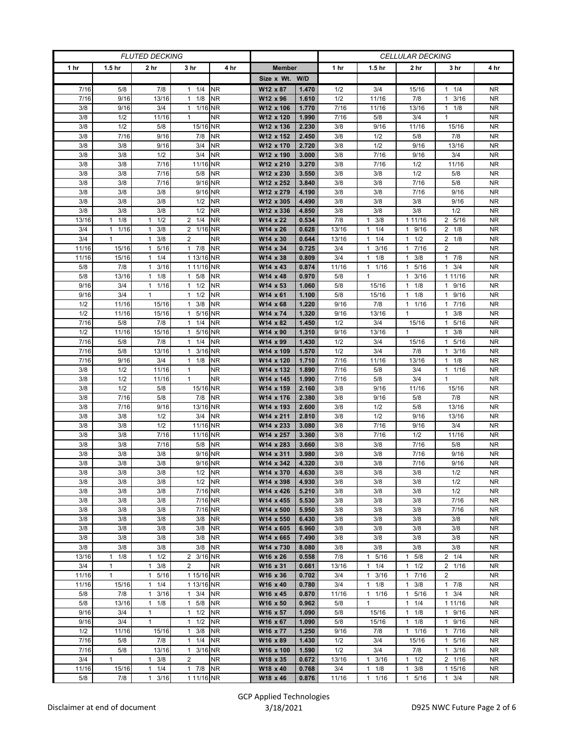| <b>FLUTED DECKING</b> |                      |                       |                        | <b>CELLULAR DECKING</b> |                       |                |                 |                   |                                             |                                 |                        |
|-----------------------|----------------------|-----------------------|------------------------|-------------------------|-----------------------|----------------|-----------------|-------------------|---------------------------------------------|---------------------------------|------------------------|
| 1 <sub>hr</sub>       | 1.5 <sub>hr</sub>    | 2 hr                  | 3 hr                   | 4 hr                    | <b>Member</b>         |                | 1 <sub>hr</sub> | 1.5 <sub>hr</sub> | 2 hr                                        | 3 hr                            | 4 hr                   |
|                       |                      |                       |                        |                         | Size x Wt. W/D        |                |                 |                   |                                             |                                 |                        |
| 7/16                  | 5/8                  | 7/8                   | $1 \t1/4$              | <b>NR</b>               | W12 x 87              | 1.470          | 1/2             | 3/4               | 15/16                                       | $\overline{1}$ $\overline{1}/4$ | <b>NR</b>              |
| 7/16                  | 9/16                 | 13/16                 | $1 \t1/8$              | <b>NR</b>               | W12 x 96              | 1.610          | 1/2             | 11/16             | 7/8                                         | 3/16<br>$\mathbf{1}$            | <b>NR</b>              |
| 3/8                   | 9/16                 | 3/4                   | 1 1/16 NR              |                         | W12 x 106             | 1.770          | 7/16            | 11/16             | 13/16                                       | $1 \t1/8$                       | <b>NR</b>              |
| 3/8                   | 1/2                  | 11/16                 | $\mathbf{1}$           | <b>NR</b>               | W12 x 120             | 1.990          | 7/16            | 5/8               | 3/4                                         | 1                               | <b>NR</b>              |
| 3/8                   | 1/2                  | 5/8                   | 15/16 NR               |                         | W12 x 136             | 2.230          | 3/8             | 9/16              | 11/16                                       | 15/16                           | <b>NR</b>              |
| 3/8                   | 7/16                 | 9/16                  | 7/8                    | <b>NR</b>               | W12 x 152             | 2.450          | 3/8             | 1/2               | 5/8                                         | 7/8                             | NR.                    |
| 3/8                   | 3/8                  | 9/16                  | 3/4                    | <b>NR</b>               | W12 x 170             | 2.720          | 3/8             | 1/2               | 9/16                                        | 13/16                           | <b>NR</b>              |
| 3/8                   | 3/8                  | 1/2                   | 3/4                    | <b>NR</b>               | W12 x 190             | 3.000          | 3/8             | 7/16              | 9/16                                        | 3/4                             | <b>NR</b>              |
| 3/8                   | 3/8                  | 7/16                  | 11/16                  | <b>NR</b>               | W12 x 210             | 3.270          | 3/8             | 7/16              | 1/2                                         | 11/16                           | <b>NR</b>              |
| 3/8                   | 3/8                  | 7/16                  | 5/8                    | <b>NR</b>               | W12 x 230             | 3.550          | 3/8             | 3/8               | 1/2                                         | 5/8                             | <b>NR</b>              |
| 3/8                   | 3/8                  | 7/16                  | 9/16 NR                |                         | W12 x 252             | 3.840          | 3/8             | 3/8               | 7/16                                        | 5/8                             | <b>NR</b>              |
| 3/8                   | 3/8                  | 3/8                   | 9/16 NR                |                         | W12 x 279             | 4.190          | 3/8             | 3/8               | 7/16                                        | 9/16                            | NR.                    |
| 3/8                   | 3/8                  | 3/8                   | 1/2                    | <b>NR</b>               | W12 x 305             | 4.490          | 3/8             | 3/8               | 3/8                                         | 9/16                            | <b>NR</b>              |
| 3/8                   | 3/8                  | 3/8                   | 1/2                    | <b>NR</b>               | W12 x 336             | 4.850          | 3/8             | 3/8               | 3/8                                         | 1/2                             | <b>NR</b>              |
| 13/16                 | 1/8<br>$\mathbf{1}$  | 1/2<br>$\mathbf{1}$   | $2 \t1/4$              | <b>NR</b>               | W14 x 22              | 0.534          | 7/8             | $1 \t3/8$         | 1 11/16                                     | 2 5/16                          | <b>NR</b>              |
| 3/4                   | 1/16<br>$\mathbf{1}$ | 3/8<br>$\mathbf{1}$   | 2 1/16 NR              |                         | W14 x 26              | 0.628          | 13/16           | $1 \t1/4$         | 9/16<br>$\mathbf{1}$                        | $2 \t1/8$                       | <b>NR</b>              |
| 3/4                   | $\mathbf{1}$         | 3/8<br>$\mathbf{1}$   | $\overline{2}$         | <b>NR</b>               | W14 x 30              | 0.644          | 13/16           | $1 \t1/4$         | 1/2<br>$\mathbf{1}$                         | $2 \t1/8$                       | <b>NR</b>              |
| 11/16                 | 15/16                | 5/16<br>$\mathbf{1}$  | 17/8                   | <b>NR</b>               | W14 x 34              | 0.725          | 3/4             | $1 \t3/16$        | 7/16<br>$\mathbf{1}$                        | 2                               | <b>NR</b>              |
| 11/16                 | 15/16                | $1 \t1/4$             | 1 13/16 NR             |                         | W14 x 38              | 0.809          | 3/4             | $1 \t1/8$         | 3/8<br>$\mathbf{1}$                         | $1 \t7/8$                       | NR.                    |
| 5/8                   | 7/8                  | 3/16<br>1             | 1 11/16 NR             |                         | W14 x 43              | 0.874          | 11/16           | $1 \t1/16$        | 5/16<br>$\mathbf{1}$                        | 3/4<br>1                        | NR                     |
| 5/8                   | 13/16                | 1/8<br>$\mathbf{1}$   | $1 \t5/8$              | <b>NR</b>               | W14 x 48              | 0.970          | 5/8             | $\mathbf{1}$      | 3/16<br>$\mathbf{1}$                        | 1 11/16                         | <b>NR</b>              |
| 9/16                  | 3/4                  | 11/16                 | $1 \t1/2$              | <b>NR</b>               | W14 x 53              | 1.060          | 5/8             | 15/16             | 1/8<br>$\mathbf{1}$                         | 1 9/16                          | NR                     |
| 9/16<br>1/2           | 3/4<br>11/16         | $\mathbf{1}$<br>15/16 | $1 \t1/2$<br>$1 \t3/8$ | <b>NR</b><br><b>NR</b>  | W14 x 61<br>W14 x 68  | 1.100<br>1.220 | 5/8<br>9/16     | 15/16<br>7/8      | 1/8<br>$\mathbf{1}$<br>1/16<br>$\mathbf{1}$ | 9/16<br>1<br>7/16<br>1          | NR<br><b>NR</b>        |
| 1/2                   | 11/16                | 15/16                 | 1 5/16 NR              |                         | W14 x 74              | 1.320          | 9/16            | 13/16             | $\mathbf{1}$                                | $1 \t3/8$                       | <b>NR</b>              |
| 7/16                  | 5/8                  | 7/8                   | $1 \t1/4$              | <b>NR</b>               | W14 x 82              | 1.450          | 1/2             | 3/4               | 15/16                                       | 5/16<br>1                       | NR.                    |
| 1/2                   | 11/16                | 15/16                 | 1 5/16 NR              |                         | W14 x 90              | 1.310          | 9/16            | 13/16             | $\mathbf{1}$                                | 3/8<br>1                        | <b>NR</b>              |
| 7/16                  | 5/8                  | 7/8                   | $1 \t1/4$              | <b>NR</b>               | W14 x 99              | 1.430          | 1/2             | 3/4               | 15/16                                       | 5/16<br>1                       | <b>NR</b>              |
| 7/16                  | 5/8                  | 13/16                 | 1 3/16 NR              |                         | W14 x 109             | 1.570          | 1/2             | 3/4               | 7/8                                         | 3/16<br>1                       | NR.                    |
| 7/16                  | 9/16                 | 3/4                   | $1 \t1/8$              | <b>NR</b>               | W14 x 120             | 1.710          | 7/16            | 11/16             | 13/16                                       | $1 \t1/8$                       | <b>NR</b>              |
| 3/8                   | 1/2                  | 11/16                 | 1                      | <b>NR</b>               | W14 x 132             | 1.890          | 7/16            | 5/8               | 3/4                                         | 1 1/16                          | NR                     |
| 3/8                   | 1/2                  | 11/16                 | $\mathbf{1}$           | <b>NR</b>               | W14 x 145             | 1.990          | 7/16            | 5/8               | 3/4                                         | 1                               | <b>NR</b>              |
| 3/8                   | 1/2                  | 5/8                   | 15/16 NR               |                         | W14 x 159             | 2.160          | 3/8             | 9/16              | 11/16                                       | 15/16                           | <b>NR</b>              |
| 3/8                   | 7/16                 | 5/8                   | 7/8                    | <b>NR</b>               | W14 x 176             | 2.380          | 3/8             | 9/16              | 5/8                                         | 7/8                             | <b>NR</b>              |
| 3/8                   | 7/16                 | 9/16                  | 13/16 NR               |                         | W14 x 193             | 2.600          | 3/8             | 1/2               | 5/8                                         | 13/16                           | <b>NR</b>              |
| 3/8                   | 3/8                  | 1/2                   | 3/4                    | <b>NR</b>               | W14 x 211             | 2.810          | 3/8             | 1/2               | 9/16                                        | 13/16                           | <b>NR</b>              |
| 3/8                   | 3/8                  | 1/2                   | 11/16 NR               |                         | W14 x 233             | 3.080          | 3/8             | 7/16              | 9/16                                        | 3/4                             | <b>NR</b>              |
| 3/8                   | 3/8                  | 7/16                  | 11/16 NR               |                         | W14 x 257             | 3.360          | 3/8             | 7/16              | 1/2                                         | 11/16                           | NR                     |
| 3/8                   | 3/8                  | 7/16                  | 5/8                    | <b>NR</b>               | W14 x 283             | 3.660          | 3/8             | 3/8               | 7/16                                        | 5/8                             | <b>NR</b>              |
| 3/8                   | 3/8                  | 3/8                   | 9/16 NR                |                         | W14 x 311             | 3.980          | 3/8             | 3/8               | 7/16                                        | 9/16                            | <b>NR</b>              |
| 3/8                   | 3/8                  | 3/8                   | 9/16 NR                |                         | W14 x 342             | 4.320          | 3/8             | 3/8               | 7/16                                        | 9/16                            | <b>NR</b>              |
| 3/8                   | 3/8                  | 3/8                   | $1/2$ NR               |                         | W14 x 370             | 4.630          | 3/8             | 3/8               | 3/8                                         | 1/2                             | NR.                    |
| 3/8                   | 3/8                  | 3/8                   | $1/2$ NR               |                         | W14 x 398             | 4.930          | 3/8             | 3/8               | 3/8                                         | 1/2                             | <b>NR</b>              |
| 3/8                   | 3/8                  | 3/8                   | 7/16 NR                |                         | W14 x 426             | 5.210          | 3/8             | 3/8               | 3/8                                         | 1/2                             | NR                     |
| 3/8                   | 3/8                  | 3/8                   | 7/16 NR                |                         | W14 x 455             | 5.530          | 3/8             | 3/8               | 3/8                                         | 7/16                            | <b>NR</b>              |
| 3/8                   | 3/8                  | 3/8                   | 7/16 NR                |                         | W14 x 500             | 5.950          | 3/8             | 3/8               | 3/8                                         | 7/16                            | <b>NR</b>              |
| 3/8                   | 3/8                  | 3/8                   | 3/8                    | <b>NR</b>               | W14 x 550             | 6.430          | 3/8             | 3/8               | 3/8                                         | 3/8                             | NR.                    |
| 3/8                   | 3/8                  | 3/8                   | 3/8                    | <b>NR</b>               | W14 x 605             | 6.960          | 3/8             | 3/8               | 3/8                                         | 3/8                             | NR                     |
| 3/8<br>3/8            | 3/8<br>3/8           | 3/8<br>3/8            | 3/8<br>3/8             | <b>NR</b>               | W14 x 665             | 7.490          | 3/8<br>3/8      | 3/8               | 3/8<br>3/8                                  | 3/8                             | <b>NR</b><br><b>NR</b> |
| 13/16                 | $1 \t1/8$            | $\mathbf{1}$<br>1/2   | 2 3/16 NR              | <b>NR</b>               | W14 x 730<br>W16 x 26 | 8.080<br>0.558 | 7/8             | 3/8<br>1 5/16     | $1 \t5/8$                                   | 3/8<br>$2 \t1/4$                | <b>NR</b>              |
| 3/4                   | $\mathbf{1}$         | 3/8<br>$\mathbf{1}$   | $\overline{2}$         | <b>NR</b>               | W16 x 31              | 0.661          |                 | $1 \t1/4$         | 1/2<br>$\mathbf{1}$                         | 2 1/16                          | <b>NR</b>              |
| 11/16                 | $\mathbf{1}$         | 5/16<br>$\mathbf{1}$  | 1 15/16 NR             |                         | W16 x 36              | 0.702          | 13/16<br>3/4    | $1 \t3/16$        | 7/16<br>$\mathbf{1}$                        | $\overline{2}$                  | <b>NR</b>              |
| 11/16                 | 15/16                | $1 \t1/4$             | 1 13/16 NR             |                         | W16 x 40              | 0.780          | 3/4             | $1 \t1/8$         | 3/8<br>$\mathbf{1}$                         | $1 \t7/8$                       | NR                     |
| 5/8                   | 7/8                  | 3/16<br>$\mathbf{1}$  | $1 \t3/4$              | <b>NR</b>               | W16 x 45              | 0.870          | 11/16           | 11/16             | 5/16<br>$\mathbf{1}$                        | $1 \t3/4$                       | <b>NR</b>              |
| 5/8                   | 13/16                | $1 \t1/8$             | 5/8<br>$\mathbf{1}$    | <b>NR</b>               | W16 x 50              | 0.962          | 5/8             | $\mathbf{1}$      | 1/4<br>$\mathbf{1}$                         | 1 11/16                         | NR                     |
| 9/16                  | 3/4                  | $\mathbf{1}$          | $1 \t1/2$              | <b>NR</b>               | W16 x 57              | 1.090          | 5/8             | 15/16             | 1/8<br>$\mathbf{1}$                         | 1 9/16                          | <b>NR</b>              |
| 9/16                  | 3/4                  | $\mathbf{1}$          | $1 \t1/2$              | <b>NR</b>               | W16 x 67              | 1.090          | 5/8             | 15/16             | 1/8<br>$\mathbf{1}$                         | 1 9/16                          | <b>NR</b>              |
| 1/2                   | 11/16                | 15/16                 | 3/8<br>$\mathbf{1}$    | <b>NR</b>               | W16 x 77              | 1.250          | 9/16            | 7/8               | $1 \t1/16$                                  | 1 7/16                          | NR                     |
| 7/16                  | 5/8                  | 7/8                   | $1 \t1/4$              | <b>NR</b>               | W16 x 89              | 1.430          | 1/2             | 3/4               | 15/16                                       | 5/16<br>$\mathbf{1}$            | <b>NR</b>              |
| 7/16                  | 5/8                  | 13/16                 | 1 3/16 NR              |                         | W16 x 100             | 1.590          | 1/2             | 3/4               | 7/8                                         | $1 \t3/16$                      | <b>NR</b>              |
| 3/4                   | $\mathbf{1}$         | 3/8<br>$\mathbf{1}$   | $\overline{2}$         | <b>NR</b>               | W18 x 35              | 0.672          | 13/16           | $1 \t3/16$        | 1/2<br>$\mathbf{1}$                         | 2 1/16                          | NR                     |
| 11/16                 | 15/16                | 1/4<br>$\mathbf{1}$   | 1 7/8 NR               |                         | W18 x 40              | 0.768          | 3/4             | $1 \t1/8$         | 3/8<br>$\mathbf{1}$                         | 1 15/16                         | NR                     |
| $5/8$                 | 7/8                  | 3/16<br>$\mathbf{1}$  | 1 11/16 NR             |                         | W18 x 46              | 0.876          | 11/16           | 11/16             | 5/16<br>$\mathbf{1}$                        | $1 \t3/4$                       | <b>NR</b>              |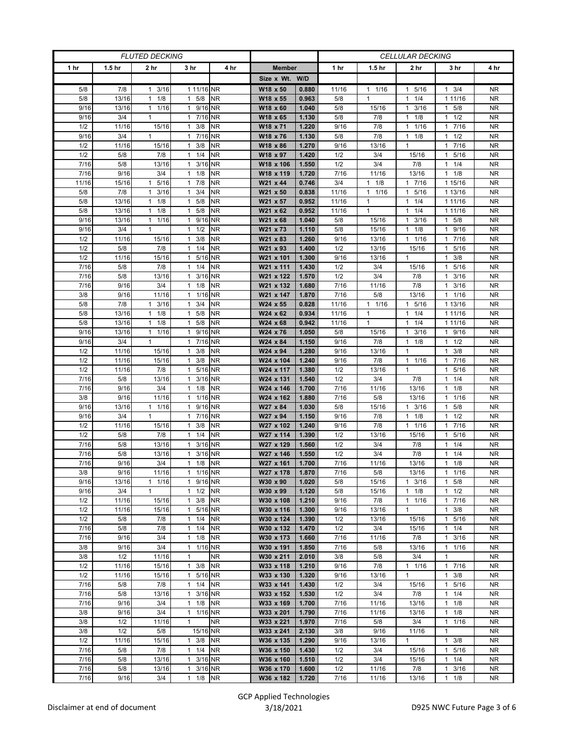| <b>FLUTED DECKING</b> |                   |                      |                         | <b>CELLULAR DECKING</b> |                       |                |                 |                   |                                     |                      |                  |
|-----------------------|-------------------|----------------------|-------------------------|-------------------------|-----------------------|----------------|-----------------|-------------------|-------------------------------------|----------------------|------------------|
| 1 <sub>hr</sub>       | 1.5 <sub>hr</sub> | 2 hr                 | 3 hr                    | 4 hr                    | <b>Member</b>         |                | 1 <sub>hr</sub> | 1.5 <sub>hr</sub> | 2 hr                                | 3 hr                 | 4 hr             |
|                       |                   |                      |                         |                         | Size x Wt. W/D        |                |                 |                   |                                     |                      |                  |
| 5/8                   | 7/8               | $1 \t3/16$           | 1 11/16 NR              |                         | W18 x 50              | 0.880          | 11/16           | $1 \t1/16$        | 5/16<br>$\mathbf{1}$                | $1 \t3/4$            | <b>NR</b>        |
| 5/8                   | 13/16             | 1/8<br>$\mathbf{1}$  | $1 \t5/8$               | <b>NR</b>               | W18 x 55              | 0.963          | 5/8             | $\mathbf{1}$      | 1/4<br>$\mathbf{1}$                 | 1 11/16              | <b>NR</b>        |
| 9/16                  | 13/16             | 1 1/16               | 1 9/16 NR               |                         | W18 x 60              | 1.040          | 5/8             | 15/16             | 3/16<br>$\mathbf{1}$                | $1 \t5/8$            | <b>NR</b>        |
| 9/16                  | 3/4               | $\mathbf{1}$         | 1 7/16 NR               |                         | W18 x 65              | 1.130          | 5/8             | 7/8               | 1/8<br>$\mathbf{1}$                 | 1/2<br>1             | <b>NR</b>        |
| 1/2                   | 11/16             | 15/16                | $1 \t3/8$               | <b>NR</b>               | W18 x 71              | 1.220          | 9/16            | 7/8               | 1/16<br>$\mathbf{1}$                | 17/16                | <b>NR</b>        |
| 9/16                  | 3/4               | $\mathbf{1}$         | 1 7/16 NR               |                         | W18 x 76              | 1.130          | 5/8             | 7/8               | 1/8<br>$\mathbf{1}$                 | 1/2<br>1             | NR.              |
| 1/2                   | 11/16             | 15/16                | $1 \t3/8$               | <b>NR</b>               | W18 x 86              | 1.270          | 9/16            | 13/16             | $\mathbf{1}$                        | 7/16<br>1            | <b>NR</b>        |
| 1/2                   | 5/8               | 7/8                  | $1 \t1/4$               | <b>NR</b>               | W18 x 97              | 1.420          | 1/2             | 3/4               | 15/16                               | 5/16<br>1            | <b>NR</b>        |
| 7/16                  | 5/8               | 13/16                | $1 \t3/16$              | <b>NR</b>               | W18 x 106             | 1.550          | 1/2             | 3/4               | 7/8                                 | 1/4                  | <b>NR</b>        |
| 7/16                  | 9/16              | 3/4                  | $1 \t1/8$               | <b>NR</b>               | W18 x 119             | 1.720          | 7/16            | 11/16             | 13/16                               | 1/8<br>1             | <b>NR</b>        |
| 11/16                 | 15/16             | 5/16<br>$\mathbf{1}$ | $1 \t7/8$               | <b>NR</b>               | W21 x 44              | 0.746          | 3/4             | $1 \t1/8$         | 17/16                               | 1 15/16              | <b>NR</b>        |
| 5/8                   | 7/8               | 3/16<br>1            | $1 \t3/4$               | <b>NR</b>               | W21 x 50              | 0.838          | 11/16           | $1 \t1/16$        | 5/16<br>$\mathbf{1}$                | 1 13/16              | NR.              |
| 5/8                   | 13/16             | 1/8<br>$\mathbf{1}$  | $1 \t5/8$               | <b>NR</b>               | W21 x 57              | 0.952          | 11/16           | 1                 | 1/4<br>$\mathbf{1}$                 | 1 11/16              | <b>NR</b>        |
| 5/8                   | 13/16             | 1/8<br>$\mathbf{1}$  | $1 \t5/8$               | <b>NR</b>               | W21 x 62              | 0.952          | 11/16           | $\mathbf{1}$      | 1/4<br>$\mathbf{1}$                 | 1 1 1 / 16           | <b>NR</b>        |
| 9/16                  | 13/16             | $1 \t1/16$           | 1 9/16                  | <b>NR</b>               | W21 x 68              | 1.040          | 5/8             | 15/16             | 3/16<br>$\mathbf{1}$                | $1 \t5/8$            | NR.              |
| 9/16                  | 3/4               | 1                    | $1 \t1/2$               | <b>NR</b>               | W21 x 73              | 1.110          | 5/8             | 15/16             | 1/8<br>$\mathbf{1}$                 | 1 9/16               | <b>NR</b>        |
| 1/2                   | 11/16             | 15/16                | $1 \t3/8$               | <b>NR</b>               | W21 x 83              | 1.260          | 9/16            | 13/16             | 1/16<br>$\mathbf{1}$                | 7/16<br>$\mathbf{1}$ | <b>NR</b>        |
| 1/2                   | 5/8               | 7/8                  | $1 \t1/4$               | <b>NR</b>               | W21 x 93              | 1.400          | 1/2             | 13/16             | 15/16                               | 5/16<br>$\mathbf{1}$ | <b>NR</b>        |
| 1/2                   | 11/16             | 15/16                | 1 5/16 NR               |                         | W21 x 101             | 1.300          | 9/16            | 13/16             | $\mathbf{1}$                        | $1 \t3/8$            | NR.              |
| 7/16                  | 5/8               | 7/8                  | $1 \t1/4$               | <b>NR</b>               | W21 x 111             | 1.430          | 1/2             | 3/4               | 15/16                               | 5/16                 | NR               |
| 7/16                  | 5/8               | 13/16                | 3/16<br>$\mathbf{1}$    | <b>NR</b>               | W21 x 122             | 1.570          | 1/2             | 3/4               | 7/8                                 | 3/16<br>1            | <b>NR</b>        |
| 7/16                  | 9/16              | 3/4                  | $1 \t1/8$               | <b>NR</b>               | W21 x 132             | 1.680          | 7/16            | 11/16             | 7/8                                 | $1 \t3/16$           | NR               |
| 3/8                   | 9/16              | 11/16                | 1 1/16 NR               |                         | W21 x 147             | 1.870          | 7/16            | 5/8               | 13/16                               | 11/16                | NR               |
| 5/8                   | 7/8               | 3/16<br>$\mathbf{1}$ | $1 \t3/4$               | <b>NR</b>               | W24 x 55              | 0.828          | 11/16           | $1 \t1/16$        | 5/16<br>$\mathbf{1}$                | 1 13/16              | <b>NR</b>        |
| 5/8                   | 13/16             | $1 \t1/8$            | $1 \t5/8$               | <b>NR</b>               | W24 x 62              | 0.934          | 11/16           | $\mathbf{1}$      | 1/4<br>$\mathbf{1}$                 | 1 1 1 / 1 6          | <b>NR</b>        |
| 5/8                   | 13/16             | 1/8<br>$\mathbf{1}$  | $1 \t5/8$               | <b>NR</b>               | W24 x 68              | 0.942          | 11/16           | $\mathbf{1}$      | 1/4<br>$\mathbf{1}$                 | 1 1 1 / 1 6          | NR.              |
| 9/16                  | 13/16             | $1 \t1/16$           | 1 9/16 NR               |                         | W24 x 76              | 1.050          | 5/8             | 15/16             | 3/16<br>$\mathbf{1}$                | 1 9/16               | <b>NR</b>        |
| 9/16                  | 3/4               | $\mathbf{1}$         | 1 7/16 NR               |                         | W24 x 84              | 1.150          | 9/16            | 7/8               | 1/8<br>$\mathbf{1}$<br>$\mathbf{1}$ | 1/2<br>1.            | <b>NR</b>        |
| 1/2<br>1/2            | 11/16<br>11/16    | 15/16<br>15/16       | $1 \t3/8$<br>$1 \t3/8$  | <b>NR</b><br><b>NR</b>  | W24 x 94<br>W24 x 104 | 1.280<br>1.240 | 9/16<br>9/16    | 13/16<br>7/8      | $1 \t1/16$                          | 3/8<br>1<br>1 7/16   | NR.<br><b>NR</b> |
| 1/2                   | 11/16             | 7/8                  | 1 5/16 NR               |                         | W24 x 117             | 1.380          | 1/2             | 13/16             | $\mathbf{1}$                        | 5/16<br>1            | NR               |
| 7/16                  | 5/8               | 13/16                | 1 3/16 NR               |                         | W24 x 131             | 1.540          | 1/2             | 3/4               | 7/8                                 | 1/4<br>1             | <b>NR</b>        |
| 7/16                  | 9/16              | 3/4                  | $1 \t1/8$               | <b>NR</b>               | W24 x 146             | 1.700          | 7/16            | 11/16             | 13/16                               | $1 \t1/8$            | NR.              |
| 3/8                   | 9/16              | 11/16                | 1 1/16 NR               |                         | W24 x 162             | 1.880          | 7/16            | 5/8               | 13/16                               | $1 \t1/16$           | <b>NR</b>        |
| 9/16                  | 13/16             | $1 \t1/16$           | 1 9/16 NR               |                         | W27 x 84              | 1.030          | 5/8             | 15/16             | 3/16<br>$\mathbf{1}$                | 5/8<br>1             | <b>NR</b>        |
| 9/16                  | 3/4               | $\mathbf{1}$         | 1 7/16 NR               |                         | W27 x 94              | 1.150          | 9/16            | 7/8               | 1/8<br>$\mathbf{1}$                 | 1/2<br>1             | <b>NR</b>        |
| 1/2                   | 11/16             | 15/16                | 3/8<br>$\mathbf{1}$     | <b>NR</b>               | W27 x 102             | 1.240          | 9/16            | 7/8               | 1 1/16                              | 7/16<br>$\mathbf{1}$ | NR               |
| 1/2                   | 5/8               | 7/8                  | $1 \t1/4$               | <b>NR</b>               | W27 x 114             | 1.390          | 1/2             | 13/16             | 15/16                               | 5/16<br>1            | NR               |
| 7/16                  | 5/8               | 13/16                | 3/16 NR<br>$\mathbf{1}$ |                         | W27 x 129             | 1.560          | 1/2             | 3/4               | 7/8                                 | 1/4<br>1             | <b>NR</b>        |
| 7/16                  | 5/8               | 13/16                | 1 3/16 NR               |                         | W27 x 146             | 1.550          | 1/2             | 3/4               | 7/8                                 | 1/4<br>1.            | <b>NR</b>        |
| 7/16                  | 9/16              | 3/4                  | $1 \t1/8$               | <b>NR</b>               | W27 x 161             | 1.700          | 7/16            | 11/16             | 13/16                               | 1/8<br>1             | <b>NR</b>        |
| 3/8                   | 9/16              | 11/16                | 1 1/16 NR               |                         | W27 x 178             | 1.870          | 7/16            | 5/8               | 13/16                               | $1 \t1/16$           | NR.              |
| 9/16                  | 13/16             | 11/16                | 1 9/16 NR               |                         | W30 x 90              | 1.020          | 5/8             | 15/16             | $1 \t3/16$                          | 5/8<br>$\mathbf{1}$  | <b>NR</b>        |
| 9/16                  | 3/4               | $\mathbf{1}$         | $1 \t1/2$               | <b>NR</b>               | W30 x 99              | 1.120          | 5/8             | 15/16             | $1 \t1/8$                           | $1 \t1/2$            | NR               |
| 1/2                   | 11/16             | 15/16                | 3/8<br>$\mathbf{1}$     | <b>NR</b>               | W30 x 108             | 1.210          | 9/16            | 7/8               | 1/16<br>$\mathbf{1}$                | 7/16<br>$\mathbf{1}$ | <b>NR</b>        |
| 1/2                   | 11/16             | 15/16                | 1 5/16                  | <b>NR</b>               | W30 x 116             | 1.300          | 9/16            | 13/16             | $\mathbf{1}$                        | 3/8<br>$\mathbf{1}$  | <b>NR</b>        |
| 1/2                   | 5/8               | 7/8                  | $1 \t1/4$               | <b>NR</b>               | W30 x 124             | 1.390          | 1/2             | 13/16             | 15/16                               | 1 5/16               | NR.              |
| 7/16                  | 5/8               | 7/8                  | $1 \t1/4$               | <b>NR</b>               | W30 x 132             | 1.470          | 1/2             | 3/4               | 15/16                               | 1/4<br>$\mathbf{1}$  | NR.              |
| 7/16                  | 9/16              | 3/4                  | $1 \t1/8$               | <b>NR</b>               | W30 x 173             | 1.660          | 7/16            | 11/16             | 7/8                                 | 3/16<br>$\mathbf{1}$ | <b>NR</b>        |
| 3/8                   | 9/16              | 3/4                  | 1 1/16 NR               |                         | W30 x 191             | 1.850          | 7/16            | 5/8               | 13/16                               | 11/16                | <b>NR</b>        |
| 3/8                   | 1/2               | 11/16                | $\mathbf{1}$            | <b>NR</b>               | W30 x 211             | 2.010          | 3/8             | 5/8               | 3/4                                 | $\mathbf{1}$         | NR.              |
| 1/2                   | 11/16             | 15/16                | $1 \t3/8$               | <b>NR</b>               | W33 x 118             | 1.210          | 9/16            | 7/8               | $1 \t1/16$                          | 17/16                | <b>NR</b>        |
| 1/2                   | 11/16             | 15/16                | 1 5/16                  | <b>NR</b>               | W33 x 130             | 1.320          | 9/16            | 13/16             | $\mathbf{1}$                        | $1 \t3/8$            | <b>NR</b>        |
| 7/16                  | 5/8               | 7/8                  | $1 \t1/4$               | <b>NR</b>               | W33 x 141             | 1.430          | 1/2             | 3/4               | 15/16                               | 5/16<br>$\mathbf{1}$ | NR               |
| 7/16                  | 5/8               | 13/16                | 1 3/16 NR               |                         | W33 x 152             | 1.530          | 1/2             | 3/4               | 7/8                                 | $1 \t1/4$            | <b>NR</b>        |
| 7/16                  | 9/16              | 3/4                  | $1 \t1/8$               | <b>NR</b>               | W33 x 169             | 1.700          | 7/16            | 11/16             | 13/16                               | 1/8<br>1             | NR               |
| 3/8                   | 9/16              | 3/4                  | 1 1/16 NR               |                         | W33 x 201             | 1.790          | 7/16            | 11/16             | 13/16                               | 1/8<br>$\mathbf{1}$  | <b>NR</b>        |
| 3/8                   | 1/2               | 11/16                | $\mathbf{1}$            | <b>NR</b>               | W33 x 221             | 1.970          | 7/16            | 5/8               | 3/4                                 | 11/16                | <b>NR</b>        |
| 3/8                   | 1/2               | 5/8                  | 15/16 NR                |                         | W33 x 241             | 2.130          | 3/8             | 9/16              | 11/16                               | 1                    | NR               |
| 1/2                   | 11/16             | 15/16                | $1 \t3/8$               | <b>NR</b>               | W36 x 135             | 1.290          | 9/16            | 13/16             | $\mathbf{1}$                        | $1 \t3/8$            | <b>NR</b>        |
| 7/16                  | 5/8               | 7/8                  | $1 \t1/4$               | <b>NR</b>               | W36 x 150             | 1.430          | 1/2             | 3/4               | 15/16                               | 5/16<br>$\mathbf{1}$ | <b>NR</b>        |
| 7/16                  | 5/8               | 13/16                | 1 3/16 NR               |                         | W36 x 160             | 1.510          | 1/2             | 3/4               | 15/16                               | 1/4<br>1             | NR.              |
| 7/16                  | 5/8               | 13/16                | 1 3/16 NR               |                         | W36 x 170             | 1.600          | 1/2             | 11/16             | 7/8                                 | 3/16<br>$\mathbf{1}$ | NR               |
| 7/16                  | 9/16              | 3/4                  | 1 1/8 NR                |                         | W36 x 182             | 1.720          | 7/16            | 11/16             | 13/16                               | $1 \t1/8$            | <b>NR</b>        |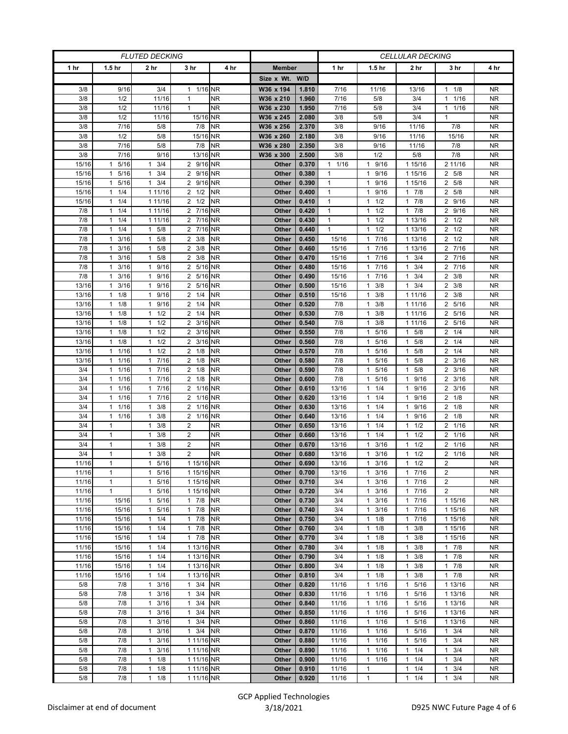| <b>FLUTED DECKING</b> |                      |                      |                     |           |                |       | <b>CELLULAR DECKING</b> |                      |                      |                        |           |
|-----------------------|----------------------|----------------------|---------------------|-----------|----------------|-------|-------------------------|----------------------|----------------------|------------------------|-----------|
| 1 hr                  | 1.5 <sub>hr</sub>    | 2 <sub>hr</sub>      | 3 hr                | 4 hr      | <b>Member</b>  |       | 1 hr                    | 1.5 <sub>hr</sub>    | 2 <sub>hr</sub>      | 3 hr                   | 4 hr      |
|                       |                      |                      |                     |           | Size x Wt. W/D |       |                         |                      |                      |                        |           |
| 3/8                   | 9/16                 | 3/4                  | 1 1/16 NR           |           | W36 x 194      | 1.810 | 7/16                    | 11/16                | 13/16                | 1/8<br>1               | <b>NR</b> |
| 3/8                   | 1/2                  | 11/16                | $\mathbf{1}$        | <b>NR</b> | W36 x 210      | 1.960 | 7/16                    | 5/8                  | 3/4                  | 1/16<br>$\mathbf{1}$   | <b>NR</b> |
| 3/8                   | 1/2                  | 11/16                | $\mathbf{1}$        | <b>NR</b> | W36 x 230      | 1.950 | 7/16                    | 5/8                  | 3/4                  | 11/16                  | <b>NR</b> |
| 3/8                   | 1/2                  | 11/16                | 15/16 NR            |           | W36 x 245      | 2.080 | 3/8                     | 5/8                  | 3/4                  | $\mathbf{1}$           | <b>NR</b> |
| 3/8                   | 7/16                 | 5/8                  | 7/8                 | <b>NR</b> | W36 x 256      | 2.370 | 3/8                     | 9/16                 | 11/16                | 7/8                    | <b>NR</b> |
| 3/8                   | 1/2                  | 5/8                  | 15/16 NR            |           | W36 x 260      | 2.180 | 3/8                     | 9/16                 | 11/16                | 15/16                  | <b>NR</b> |
| 3/8                   | 7/16                 | 5/8                  | 7/8                 | <b>NR</b> | W36 x 280      | 2.350 | 3/8                     | 9/16                 | 11/16                | 7/8                    | <b>NR</b> |
| 3/8                   | 7/16                 | 9/16                 | 13/16 NR            |           | W36 x 300      | 2.500 | 3/8                     | 1/2                  | 5/8                  | 7/8                    | <b>NR</b> |
| 15/16                 | 5/16<br>$\mathbf{1}$ | 3/4<br>1             | 2 9/16 NR           |           | Other          | 0.370 | 1/16<br>$\mathbf{1}$    | 1 9/16               | 1 15/16              | 2 11/16                | <b>NR</b> |
| 15/16                 | 5/16<br>$\mathbf{1}$ | 3/4<br>$\mathbf{1}$  | 2 9/16 NR           |           | Other          | 0.380 | $\mathbf{1}$            | 1 9/16               | 1 15/16              | 2 5/8                  | <b>NR</b> |
| 15/16                 | 5/16<br>$\mathbf{1}$ | 3/4<br>$\mathbf{1}$  | 2 9/16 NR           |           | Other          | 0.390 | $\mathbf{1}$            | 1 9/16               | 1 15/16              | 2 5/8                  | <b>NR</b> |
| 15/16                 | 1/4<br>$\mathbf{1}$  | 1 11/16              | $2 \frac{1}{2}$     | <b>NR</b> | Other          | 0.400 | $\mathbf{1}$            | 9/16<br>$\mathbf{1}$ | 7/8<br>$\mathbf{1}$  | 2 5/8                  | NR        |
| 15/16                 | 1/4<br>1             | 1 11/16              | $2 \frac{1}{2}$     | <b>NR</b> | Other          | 0.410 | $\mathbf{1}$            | $1 \t1/2$            | 7/8<br>$\mathbf{1}$  | 2 9/16                 | <b>NR</b> |
| 7/8                   | 1/4<br>$\mathbf{1}$  | 1 11/16              | 2 7/16 NR           |           | Other          | 0.420 | $\mathbf{1}$            | $1 \t1/2$            | 7/8<br>$\mathbf{1}$  | 2 9/16                 | <b>NR</b> |
| 7/8                   | 1/4<br>$\mathbf{1}$  | 1 11/16              | 2 7/16 NR           |           | Other          | 0.430 | $\mathbf{1}$            | 1/2<br>$\mathbf{1}$  | 1 13/16              | $2 \frac{1}{2}$        | <b>NR</b> |
| 7/8                   | 1/4<br>$\mathbf{1}$  | 5/8<br>$\mathbf{1}$  | 2 7/16 NR           |           | Other          | 0.440 | $\mathbf{1}$            | 1/2<br>$\mathbf{1}$  | 1 13/16              | $2 \frac{1}{2}$        | <b>NR</b> |
| 7/8                   | $\mathbf{1}$<br>3/16 | 5/8<br>$\mathbf{1}$  | $2 \frac{3}{8}$     | <b>NR</b> | Other          | 0.450 | 15/16                   | 7/16<br>$\mathbf{1}$ | 1 13/16              | $2 \frac{1}{2}$        | <b>NR</b> |
| 7/8                   | 3/16<br>$\mathbf{1}$ | 5/8<br>$\mathbf{1}$  | $2 \frac{3}{8}$     | <b>NR</b> | Other          | 0.460 | 15/16                   | 17/16                | 1 13/16              | 2 7/16                 | <b>NR</b> |
| 7/8                   | 3/16<br>1            | 5/8<br>$\mathbf{1}$  | $2 \frac{3}{8}$     | <b>NR</b> | Other          | 0.470 | 15/16                   | 17/16                | 3/4<br>1             | 2 7/16                 | <b>NR</b> |
| 7/8                   | 3/16<br>$\mathbf{1}$ | 9/16<br>$\mathbf{1}$ | 2 5/16 NR           |           | Other          | 0.480 | 15/16                   | 7/16<br>$\mathbf{1}$ | 3/4<br>$\mathbf{1}$  | 7/16<br>$\overline{2}$ | <b>NR</b> |
| 7/8                   | 3/16<br>$\mathbf{1}$ | 9/16<br>$\mathbf{1}$ | 2 5/16 NR           |           | Other          | 0.490 | 15/16                   | 17/16                | 3/4<br>$\mathbf{1}$  | $2 \frac{3}{8}$        | <b>NR</b> |
| 13/16                 | 3/16<br>1            | 9/16<br>$\mathbf{1}$ | 2 5/16 NR           |           | Other          | 0.500 | 15/16                   | $1 \t3/8$            | $\mathbf{1}$<br>3/4  | $2 \frac{3}{8}$        | <b>NR</b> |
| 13/16                 | 1/8<br>$\mathbf{1}$  | 9/16<br>1            | $2 \frac{1}{4}$     | <b>NR</b> | Other          | 0.510 | 15/16                   | 3/8<br>1             | 1 11/16              | 2<br>3/8               | <b>NR</b> |
| 13/16                 | 1/8<br>$\mathbf{1}$  | 9/16<br>$\mathbf{1}$ | $2 \t1/4$           | <b>NR</b> | Other          | 0.520 | 7/8                     | $1 \t3/8$            | 1 11/16              | 2 5/16                 | <b>NR</b> |
| 13/16                 | 1/8<br>1             | $1 \t1/2$            | $2 \t1/4$           | <b>NR</b> | Other          | 0.530 | 7/8                     | $1 \t3/8$            | 1 11/16              | 2 5/16                 | NR        |
| 13/16                 | 1/8<br>$\mathbf{1}$  | 1/2<br>1             | 2 3/16 NR           |           | Other          | 0.540 | 7/8                     | 3/8<br>$\mathbf{1}$  | 1 11/16              | 2 5/16                 | <b>NR</b> |
| 13/16                 | 1/8<br>$\mathbf{1}$  | 1/2<br>$\mathbf{1}$  | 2 3/16 NR           |           | Other          | 0.550 | 7/8                     | 1 5/16               | 5/8<br>$\mathbf{1}$  | $2 \t1/4$              | <b>NR</b> |
| 13/16                 | 1/8<br>$\mathbf{1}$  | $1 \t1/2$            | 2 3/16 NR           |           | Other          | 0.560 | 7/8                     | 1 5/16               | 5/8<br>$\mathbf{1}$  | $2 \t1/4$              | <b>NR</b> |
| 13/16                 | 1/16<br>$\mathbf{1}$ | 1/2<br>$\mathbf{1}$  | $2 \frac{1}{8}$     | <b>NR</b> | Other          | 0.570 | 7/8                     | 5/16<br>$\mathbf{1}$ | 5/8<br>$\mathbf{1}$  | $\overline{2}$<br>1/4  | NR        |
| 13/16                 | $\mathbf{1}$<br>1/16 | 7/16<br>$\mathbf{1}$ | $2 \frac{1}{8}$     | <b>NR</b> | Other          | 0.580 | 7/8                     | 5/16<br>$\mathbf{1}$ | 5/8<br>$\mathbf{1}$  | $2 \frac{3}{16}$       | <b>NR</b> |
| 3/4                   | $\mathbf{1}$<br>1/16 | 1 7/16               | $2 \t1/8$           | <b>NR</b> | Other          | 0.590 | 7/8                     | 5/16<br>$\mathbf{1}$ | 5/8<br>$\mathbf{1}$  | $2 \frac{3}{16}$       | <b>NR</b> |
| 3/4                   | 1/16<br>$\mathbf{1}$ | 7/16<br>$\mathbf{1}$ | $2 \t1/8$           | <b>NR</b> | Other          | 0.600 | 7/8                     | 5/16<br>$\mathbf{1}$ | 9/16<br>$\mathbf{1}$ | $2 \frac{3}{16}$       | NR.       |
| 3/4                   | 1/16<br>$\mathbf{1}$ | 7/16<br>$\mathbf{1}$ | 2 1/16 NR           |           | Other          | 0.610 | 13/16                   | 1/4<br>$\mathbf{1}$  | 9/16<br>$\mathbf{1}$ | 3/16<br>$\overline{2}$ | <b>NR</b> |
| 3/4                   | 1/16<br>1            | 7/16<br>$\mathbf{1}$ | 2 1/16 NR           |           | Other          | 0.620 | 13/16                   | $\mathbf{1}$<br>1/4  | 9/16<br>$\mathbf{1}$ | $2 \t1/8$              | <b>NR</b> |
| 3/4                   | 1/16<br>1            | 3/8<br>$\mathbf{1}$  | 2 1/16 NR           |           | Other          | 0.630 | 13/16                   | 1/4<br>$\mathbf{1}$  | 9/16<br>$\mathbf{1}$ | $2 \t1/8$              | <b>NR</b> |
| 3/4                   | $\mathbf{1}$<br>1/16 | 3/8<br>$\mathbf{1}$  | 2 1/16 NR           |           | Other          | 0.640 | 13/16                   | $1 \t1/4$            | 9/16<br>$\mathbf{1}$ | $2 \t1/8$              | <b>NR</b> |
| 3/4                   | $\mathbf{1}$         | 3/8<br>1             | $\overline{2}$      | <b>NR</b> | Other          | 0.650 | 13/16                   | $1 \t1/4$            | 1/2<br>$\mathbf{1}$  | 2 1/16                 | NR        |
| 3/4                   | $\mathbf{1}$         | 3/8<br>1             | $\overline{2}$      | <b>NR</b> | Other          | 0.660 | 13/16                   | 1/4<br>$\mathbf{1}$  | 1/2<br>$\mathbf{1}$  | 1/16<br>$\overline{2}$ | <b>NR</b> |
| 3/4                   | $\mathbf{1}$         | 3/8<br>$\mathbf{1}$  | $\overline{2}$      | <b>NR</b> | Other          | 0.670 | 13/16                   | 3/16<br>$\mathbf{1}$ | 1/2<br>$\mathbf{1}$  | 2 1/16                 | <b>NR</b> |
| 3/4                   | $\mathbf{1}$         | 3/8<br>1             | $\overline{2}$      | <b>NR</b> | Other          | 0.680 | 13/16                   | 3/16<br>$\mathbf{1}$ | 1/2<br>$\mathbf{1}$  | 2 1/16                 | <b>NR</b> |
| 11/16                 | $\mathbf{1}$         | 5/16<br>$\mathbf{1}$ | 1 15/16 NR          |           | Other          | 0.690 | 13/16                   | 3/16<br>$\mathbf{1}$ | 1/2<br>$\mathbf{1}$  | $\overline{2}$         | <b>NR</b> |
| 11/16                 | $\mathbf{1}$         | 1 5/16               | 1 15/16 NR          |           | Other          | 0.700 | 13/16                   | $1 \t3/16$           | 7/16<br>$\mathbf{1}$ | 2                      | NR        |
| 11/16                 | 1                    | $\mathbf{1}$<br>5/16 | 1 15/16 NR          |           | Other          | 0.710 | 3/4                     | $1 \t3/16$           | $\mathbf{1}$<br>7/16 | $\overline{2}$         | NR.       |
| 11/16                 | $\mathbf{1}$         | 5/16<br>$\mathbf{1}$ | 1 15/16 NR          |           | Other          | 0.720 | 3/4                     | $1 \t3/16$           | $7/16$<br>1          | 2                      | NR.       |
| 11/16                 | 15/16                | 5/16<br>1            | 17/8                | <b>NR</b> | Other          | 0.730 | 3/4                     | $1 \t3/16$           | 7/16<br>$\mathbf{1}$ | 1 15/16                | <b>NR</b> |
| 11/16                 | 15/16                | 5/16<br>$\mathbf{1}$ | 17/8                | <b>NR</b> | Other          | 0.740 | 3/4                     | $1 \t3/16$           | 7/16<br>$\mathbf{1}$ | 1 15/16                | NR        |
| 11/16                 | 15/16                | 1/4<br>$\mathbf{1}$  | 17/8                | <b>NR</b> | Other          | 0.750 | 3/4                     | $1 \t1/8$            | 7/16<br>$\mathbf{1}$ | 1 15/16                | NR.       |
| 11/16                 | 15/16                | 1/4<br>1             | 17/8                | <b>NR</b> | Other          | 0.760 | 3/4                     | $1 \t1/8$            | 3/8<br>$\mathbf{1}$  | 1 15/16                | <b>NR</b> |
| 11/16                 | 15/16                | 1/4<br>$\mathbf{1}$  | 17/8                | <b>NR</b> | Other          | 0.770 | 3/4                     | $1 \t1/8$            | $\mathbf{1}$<br>3/8  | 1 15/16                | <b>NR</b> |
| 11/16                 | 15/16                | $1 \t1/4$            | 1 13/16 NR          |           | Other          | 0.780 | 3/4                     | $1 \t1/8$            | 3/8<br>1             | 17/8                   | NR.       |
| 11/16                 | 15/16                | 1<br>1/4             | 1 13/16 NR          |           | Other          | 0.790 | 3/4                     | $1 \t1/8$            | 3/8<br>$\mathbf{1}$  | 17/8                   | NR.       |
| 11/16                 | 15/16                | $\mathbf{1}$<br>1/4  | 1 13/16 NR          |           | Other          | 0.800 | 3/4                     | $1 \t1/8$            | $\mathbf{1}$<br>3/8  | $1 \t7/8$              | <b>NR</b> |
| 11/16                 | 15/16                | $1 \t1/4$            | 1 13/16 NR          |           | Other          | 0.810 | 3/4                     | $1 \t1/8$            | 3/8<br>$\mathbf{1}$  | 17/8                   | <b>NR</b> |
| 5/8                   | 7/8                  | 3/16<br>$\mathbf{1}$ | $1 \t3/4$           | <b>NR</b> | Other          | 0.820 | 11/16                   | 11/16                | 5/16<br>$\mathbf{1}$ | $\frac{1}{1}$ 13/16    | NR        |
| 5/8                   | 7/8                  | 3/16<br>1            | $1 \t3/4$           | <b>NR</b> | Other          | 0.830 | 11/16                   | 11/16                | 5/16<br>$\mathbf{1}$ | 1 13/16                | <b>NR</b> |
| 5/8                   | 7/8                  | $\mathbf{1}$<br>3/16 | $\mathbf{1}$<br>3/4 | <b>NR</b> | Other          | 0.840 | 11/16                   | 11/16                | 5/16<br>$\mathbf{1}$ | 1 13/16                | <b>NR</b> |
| 5/8                   | 7/8                  | 3/16<br>$\mathbf{1}$ | $1 \t3/4$           | <b>NR</b> | Other          | 0.850 | 11/16                   | $1 \t1/16$           | 5/16<br>$\mathbf{1}$ | 1 13/16                | <b>NR</b> |
| 5/8                   | 7/8                  | 3/16<br>1            | $1 \t3/4$           | <b>NR</b> | Other          | 0.860 | 11/16                   | 11/16                | 5/16<br>$\mathbf{1}$ | 1 13/16                | <b>NR</b> |
| 5/8                   | 7/8                  | 3/16<br>$\mathbf{1}$ | $1 \t3/4$           | <b>NR</b> | Other          | 0.870 | 11/16                   | 11/16                | 5/16<br>$\mathbf{1}$ | $1 \t3/4$              | NR.       |
| 5/8                   | 7/8                  | 3/16<br>$\mathbf{1}$ | 1 11/16 NR          |           | Other          | 0.880 | 11/16                   | 11/16                | 5/16<br>1            | 3/4<br>$\mathbf{1}$    | <b>NR</b> |
| 5/8                   | 7/8                  | 3/16<br>$\mathbf{1}$ | 1 11/16 NR          |           | Other          | 0.890 | 11/16                   | 11/16                | 1/4<br>$\mathbf{1}$  | 3/4<br>1               | <b>NR</b> |
| 5/8                   | 7/8                  | 1<br>1/8             | 1 11/16 NR          |           | Other          | 0.900 | 11/16                   | $1 \t1/16$           | 1/4<br>$\mathbf{1}$  | 3/4                    | NR        |
| 5/8                   | 7/8                  | 1/8<br>$\mathbf{1}$  | 1 11/16 NR          |           | Other          | 0.910 | 11/16                   | $\mathbf{1}$         | 1/4<br>$\mathbf{1}$  | 3/4<br>1               | NR.       |
| 5/8                   | 7/8                  | $1 \t1/8$            | 1 11/16 NR          |           | Other          | 0.920 | 11/16                   | $\mathbf{1}$         | 1/4<br>$\mathbf{1}$  | 3/4<br>$\mathbf{1}$    | <b>NR</b> |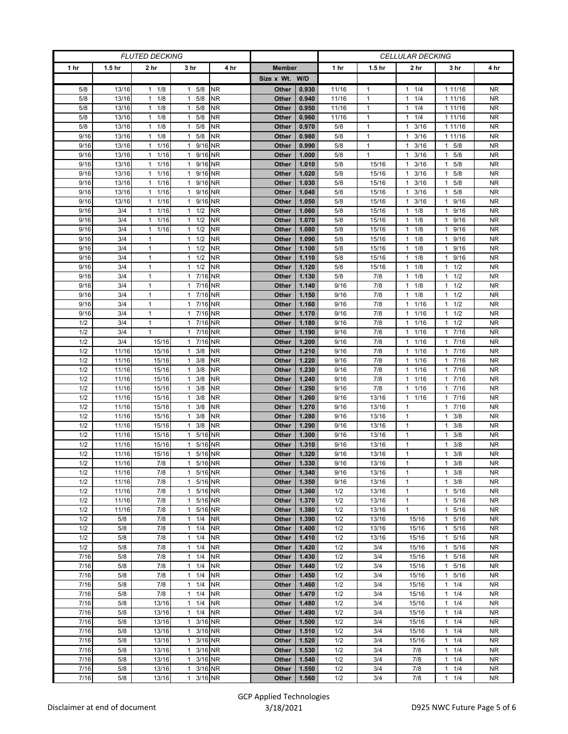| <b>FLUTED DECKING</b> |                   |                      |                         |           |                | <b>CELLULAR DECKING</b> |       |                   |                      |                      |           |  |
|-----------------------|-------------------|----------------------|-------------------------|-----------|----------------|-------------------------|-------|-------------------|----------------------|----------------------|-----------|--|
| 1 hr                  | 1.5 <sub>hr</sub> | 2 <sub>hr</sub>      | 3 hr                    | 4 hr      | <b>Member</b>  |                         | 1 hr  | 1.5 <sub>hr</sub> | 2 hr                 | 3 hr                 | 4 hr      |  |
|                       |                   |                      |                         |           | Size x Wt. W/D |                         |       |                   |                      |                      |           |  |
| 5/8                   | 13/16             | 1/8<br>$\mathbf{1}$  | $1 \t5/8$               | <b>NR</b> | Other          | 0.930                   | 11/16 | $\mathbf{1}$      | 1/4<br>1             | 1 1 1 / 1 6          | <b>NR</b> |  |
| 5/8                   | 13/16             | 1/8<br>1             | 5/8<br>$\mathbf{1}$     | <b>NR</b> | Other          | 0.940                   | 11/16 | $\mathbf{1}$      | 1/4<br>$\mathbf{1}$  | 1 1 1 / 16           | <b>NR</b> |  |
| 5/8                   | 13/16             | 1/8<br>$\mathbf{1}$  | $1 \t5/8$               | <b>NR</b> | Other          | 0.950                   | 11/16 | $\mathbf{1}$      | 1/4<br>1             | 1 1 1 / 16           | <b>NR</b> |  |
| 5/8                   | 13/16             | 1/8<br>1             | 5/8<br>$\mathbf{1}$     | <b>NR</b> | Other          | 0.960                   | 11/16 | $\mathbf{1}$      | 1/4<br>1             | 1 1 1/16             | <b>NR</b> |  |
| 5/8                   | 13/16             | 1/8<br>$\mathbf{1}$  | 5/8<br>$\mathbf{1}$     | <b>NR</b> | Other          | 0.970                   | 5/8   | $\mathbf{1}$      | 3/16<br>$\mathbf{1}$ | 1 11/16              | <b>NR</b> |  |
| 9/16                  | 13/16             | 1/8<br>$\mathbf{1}$  | 5/8<br>$\mathbf{1}$     | <b>NR</b> | Other          | 0.980                   | 5/8   | $\mathbf{1}$      | 3/16<br>1            | 1 11/16              | <b>NR</b> |  |
| 9/16                  | 13/16             | 1/16<br>$\mathbf{1}$ | 1 9/16 NR               |           | Other          | 0.990                   | 5/8   | $\mathbf{1}$      | 3/16<br>1            | 5/8<br>1             | NR.       |  |
| 9/16                  | 13/16             | 1/16<br>1            | 1 9/16 NR               |           | Other          | 1.000                   | 5/8   | $\mathbf{1}$      | 3/16<br>$\mathbf{1}$ | 5/8<br>1             | <b>NR</b> |  |
| 9/16                  | 13/16             | 1<br>1/16            | 1 9/16 NR               |           | Other          | 1.010                   | 5/8   | 15/16             | 3/16<br>1            | 5/8                  | <b>NR</b> |  |
| 9/16                  | 13/16             | 1/16<br>1            | 1 9/16 NR               |           | Other          | 1.020                   | 5/8   | 15/16             | 3/16<br>$\mathbf{1}$ | 5/8<br>1             | <b>NR</b> |  |
| 9/16                  | 13/16             | 1/16<br>$\mathbf{1}$ | 1 9/16 NR               |           | Other          | 1.030                   | 5/8   | 15/16             | 3/16<br>$\mathbf{1}$ | 5/8<br>1             | <b>NR</b> |  |
| 9/16                  | 13/16             | $\mathbf{1}$<br>1/16 | 1 9/16 NR               |           | Other          | 1.040                   | 5/8   | 15/16             | 3/16<br>1            | 5/8<br>1             | <b>NR</b> |  |
| 9/16                  | 13/16             | 1/16<br>1            | 9/16 NR<br>$\mathbf{1}$ |           | Other          | 1.050                   | 5/8   | 15/16             | 3/16<br>1            | 9/16<br>1            | <b>NR</b> |  |
| 9/16                  | 3/4               | 1/16<br>$\mathbf{1}$ | $1 \t1/2$               | <b>NR</b> | Other          | 1.060                   | 5/8   | 15/16             | 1/8<br>$\mathbf{1}$  | 9/16<br>$\mathbf{1}$ | <b>NR</b> |  |
| 9/16                  | 3/4               | 1<br>1/16            | $1 \t1/2$               | <b>NR</b> | Other          | 1.070                   | 5/8   | 15/16             | 1/8<br>1             | 9/16<br>1            | <b>NR</b> |  |
| 9/16                  | 3/4               | 1/16<br>1            | $1 \t1/2$               | <b>NR</b> | Other          | 1.080                   | 5/8   | 15/16             | 1/8<br>$\mathbf{1}$  | 9/16<br>1            | <b>NR</b> |  |
| 9/16                  | 3/4               | $\mathbf{1}$         | $1 \t1/2$               | <b>NR</b> | Other          | 1.090                   | 5/8   | 15/16             | 1/8<br>$\mathbf{1}$  | 9/16<br>1            | <b>NR</b> |  |
| 9/16                  | 3/4               | $\mathbf{1}$         | $1 \t1/2$               | <b>NR</b> | Other          | 1.100                   | 5/8   | 15/16             | 1<br>1/8             | 9/16<br>1            | NR.       |  |
| 9/16                  | 3/4               | $\mathbf{1}$         | $1 \t1/2$               | <b>NR</b> | Other          | 1.110                   | 5/8   | 15/16             | 1/8<br>$\mathbf{1}$  | 9/16<br>1            | <b>NR</b> |  |
| 9/16                  | 3/4               | $\mathbf{1}$         | $1 \t1/2$               | <b>NR</b> | Other          | 1.120                   | 5/8   | 15/16             | 1/8<br>1             | 1/2<br>1             | <b>NR</b> |  |
| 9/16                  | 3/4               | $\mathbf{1}$         | 1 7/16 NR               |           | Other          | 1.130                   | 5/8   | 7/8               | 1/8<br>1             | 1/2<br>1             | <b>NR</b> |  |
| 9/16                  | 3/4               | $\mathbf{1}$         | 1 7/16 NR               |           | Other          | 1.140                   | 9/16  | 7/8               | 1/8<br>1             | 1/2<br>$\mathbf{1}$  | <b>NR</b> |  |
| 9/16                  | 3/4               | $\mathbf{1}$         | 7/16 NR<br>$\mathbf{1}$ |           | Other          | 1.150                   | 9/16  | 7/8               | 1/8<br>1             | 1/2<br>1             | <b>NR</b> |  |
| 9/16                  | 3/4               | $\mathbf{1}$         | 7/16 NR<br>$\mathbf{1}$ |           | Other          | 1.160                   | 9/16  | 7/8               | 1/16<br>1            | 1/2<br>1             | <b>NR</b> |  |
|                       |                   |                      |                         |           |                |                         |       |                   |                      |                      |           |  |
| 9/16                  | 3/4               | $\mathbf{1}$         | 1 7/16 NR               |           | Other          | 1.170                   | 9/16  | 7/8               | 1/16<br>1<br>1       | $1 \t1/2$            | NR.       |  |
| 1/2                   | 3/4               | $\mathbf{1}$         | 1 7/16 NR               |           | Other          | 1.180                   | 9/16  | 7/8               | 1/16                 | 1/2<br>1             | <b>NR</b> |  |
| 1/2                   | 3/4               | $\mathbf{1}$         | 1 7/16 NR               |           | Other          | 1.190                   | 9/16  | 7/8               | 1/16<br>$\mathbf{1}$ | $7/16$<br>1          | <b>NR</b> |  |
| 1/2                   | 3/4               | 15/16                | 17/16                   | <b>NR</b> | Other          | 1.200                   | 9/16  | 7/8               | 1/16<br>1            | 17/16                | NR.       |  |
| 1/2                   | 11/16             | 15/16                | 3/8<br>$\mathbf{1}$     | <b>NR</b> | Other          | 1.210                   | 9/16  | 7/8               | 1/16<br>$\mathbf{1}$ | 7/16<br>1            | <b>NR</b> |  |
| 1/2                   | 11/16             | 15/16                | $1 \t3/8$               | <b>NR</b> | Other          | 1.220                   | 9/16  | 7/8               | 1/16<br>$\mathbf{1}$ | 7/16<br>1            | <b>NR</b> |  |
| 1/2                   | 11/16             | 15/16                | 3/8<br>$\mathbf{1}$     | <b>NR</b> | Other          | 1.230                   | 9/16  | 7/8               | 1/16<br>1            | 17/16                | <b>NR</b> |  |
| 1/2                   | 11/16             | 15/16                | $1 \t3/8$               | <b>NR</b> | Other          | 1.240                   | 9/16  | 7/8               | 1/16<br>1            | 7/16<br>1            | <b>NR</b> |  |
| 1/2                   | 11/16             | 15/16                | $1 \t3/8$               | <b>NR</b> | Other          | 1.250                   | 9/16  | 7/8               | 1/16<br>$\mathbf{1}$ | 7/16<br>$\mathbf{1}$ | <b>NR</b> |  |
| 1/2                   | 11/16             | 15/16                | 3/8<br>$\mathbf{1}$     | <b>NR</b> | Other          | 1.260                   | 9/16  | 13/16             | 1/16<br>1            | 7/16<br>$\mathbf{1}$ | <b>NR</b> |  |
| 1/2                   | 11/16             | 15/16                | $1 \t3/8$               | <b>NR</b> | Other          | 1.270                   | 9/16  | 13/16             | $\mathbf{1}$         | 7/16<br>1            | <b>NR</b> |  |
| 1/2                   | 11/16             | 15/16                | $1 \t3/8$               | <b>NR</b> | Other          | 1.280                   | 9/16  | 13/16             | $\mathbf{1}$         | 3/8<br>1             | <b>NR</b> |  |
| 1/2                   | 11/16             | 15/16                | 3/8<br>$\mathbf{1}$     | <b>NR</b> | Other          | 1.290                   | 9/16  | 13/16             | $\mathbf{1}$         | 3/8                  | <b>NR</b> |  |
| 1/2                   | 11/16             | 15/16                | 5/16 NR<br>$\mathbf{1}$ |           | Other          | 1.300                   | 9/16  | 13/16             | $\mathbf{1}$         | 3/8<br>1             | <b>NR</b> |  |
| 1/2                   | 11/16             | 15/16                | 1 5/16 NR               |           | Other          | 1.310                   | 9/16  | 13/16             | $\mathbf{1}$         | 3/8<br>1             | <b>NR</b> |  |
| 1/2                   | 11/16             | 15/16                | 5/16 NR<br>$\mathbf{1}$ |           | Other          | 1.320                   | 9/16  | 13/16             | $\mathbf{1}$         | 3/8<br>1             | <b>NR</b> |  |
| 1/2                   | 11/16             | 7/8                  | 1 5/16 NR               |           | Other          | 1.330                   | 9/16  | 13/16             | $\mathbf{1}$         | 3/8<br>$\mathbf{1}$  | <b>NR</b> |  |
| 1/2                   | 11/16             | 7/8                  | 1 5/16 NR               |           | Other          | 1.340                   | 9/16  | 13/16             | $\mathbf{1}$         | 3/8<br>$\mathbf{1}$  | <b>NR</b> |  |
| 1/2                   | 11/16             | 7/8                  | 1 5/16 NR               |           | Other          | 1.350                   | 9/16  | 13/16             | $\mathbf{1}$         | 3/8<br>1             | NR        |  |
| 1/2                   | 11/16             | 7/8                  | 1 5/16 NR               |           | Other          | 1.360                   | 1/2   | 13/16             | 1                    | 5/16<br>1            | NR        |  |
| 1/2                   | 11/16             | 7/8                  | 5/16 NR<br>$\mathbf{1}$ |           | Other          | 1.370                   | 1/2   | 13/16             | $\mathbf{1}$         | 5/16                 | <b>NR</b> |  |
| 1/2                   | 11/16             | 7/8                  | 5/16 NR<br>$\mathbf{1}$ |           | Other          | 1.380                   | 1/2   | 13/16             | $\mathbf{1}$         | 5/16<br>1            | <b>NR</b> |  |
| 1/2                   | 5/8               | 7/8                  | $1 \t1/4$               | <b>NR</b> | Other          | 1.390                   | 1/2   | 13/16             | 15/16                | 1 5/16               | <b>NR</b> |  |
| 1/2                   | 5/8               | 7/8                  | $1 \t1/4$               | <b>NR</b> | Other          | 1.400                   | 1/2   | 13/16             | 15/16                | 5/16<br>1            | <b>NR</b> |  |
| 1/2                   | 5/8               | 7/8                  | $1 \t1/4$               | <b>NR</b> | Other          | 1.410                   | 1/2   | 13/16             | 15/16                | 5/16<br>$\mathbf{1}$ | <b>NR</b> |  |
| 1/2                   | 5/8               | 7/8                  | $1 \t1/4$               | <b>NR</b> | Other          | 1.420                   | 1/2   | 3/4               | 15/16                | 1 5/16               | NR.       |  |
| 7/16                  | 5/8               | 7/8                  | $1 \t1/4$               | <b>NR</b> | Other          | 1.430                   | 1/2   | 3/4               | 15/16                | 5/16<br>1            | <b>NR</b> |  |
| 7/16                  | 5/8               | 7/8                  | $1 \t1/4$               | NR        | Other          | 1.440                   | 1/2   | 3/4               | 15/16                | 5/16<br>1            | <b>NR</b> |  |
| 7/16                  | 5/8               | 7/8                  | $1 \t1/4$               | <b>NR</b> | Other          | 1.450                   | 1/2   | 3/4               | 15/16                | 5/16<br>$\mathbf{1}$ | NR        |  |
| 7/16                  | 5/8               | 7/8                  | $1 \t1/4$               | <b>NR</b> | Other          | 1.460                   | 1/2   | 3/4               | 15/16                | 1/4<br>1             | NR.       |  |
| 7/16                  | 5/8               | 7/8                  | $1 \t1/4$               | <b>NR</b> | Other          | 1.470                   | 1/2   | 3/4               | 15/16                | 1/4<br>1             | <b>NR</b> |  |
| 7/16                  | 5/8               | 13/16                | $1 \t1/4$               | <b>NR</b> | Other          | 1.480                   | 1/2   | 3/4               | 15/16                | 1/4<br>1             | <b>NR</b> |  |
| 7/16                  | 5/8               | 13/16                | $1 \t1/4$               | <b>NR</b> | Other          | 1.490                   | 1/2   | 3/4               | 15/16                | 1/4<br>1             | <b>NR</b> |  |
| 7/16                  | 5/8               | 13/16                | 3/16<br>$\mathbf{1}$    | <b>NR</b> | Other          | 1.500                   | 1/2   | 3/4               | 15/16                | 1/4<br>1             | <b>NR</b> |  |
| 7/16                  | 5/8               | 13/16                | 1 3/16 NR               |           | Other          | 1.510                   | 1/2   | 3/4               | 15/16                | 1/4<br>1             | NR.       |  |
| 7/16                  | 5/8               | 13/16                | 1 3/16 NR               |           | Other          | 1.520                   | 1/2   | 3/4               | 15/16                | 1/4<br>1             | <b>NR</b> |  |
| 7/16                  | 5/8               | 13/16                | 1 3/16 NR               |           | Other          | 1.530                   | 1/2   | 3/4               | 7/8                  | 1/4<br>$\mathbf{1}$  | <b>NR</b> |  |
| 7/16                  | 5/8               | 13/16                | 3/16 NR<br>$\mathbf{1}$ |           | Other          | 1.540                   | 1/2   | 3/4               | 7/8                  | 1/4<br>1             | NR        |  |
| 7/16                  | 5/8               | 13/16                | 3/16 NR<br>1            |           | Other          | 1.550                   | 1/2   | 3/4               | 7/8                  | 1/4<br>1             | NR        |  |
| 7/16                  | 5/8               | 13/16                | 1 3/16 NR               |           | Other          | 1.560                   | 1/2   | 3/4               | 7/8                  | 1/4<br>$\mathbf{1}$  | <b>NR</b> |  |